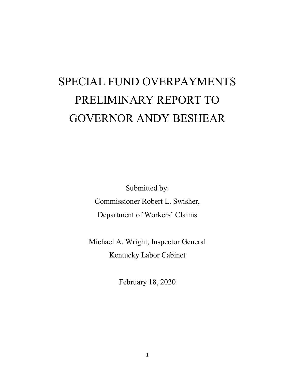# SPECIAL FUND OVERPAYMENTS PRELIMINARY REPORT TO GOVERNOR ANDY BESHEAR

Submitted by: Commissioner Robert L. Swisher, Department of Workers' Claims

Michael A. Wright, Inspector General Kentucky Labor Cabinet

February 18, 2020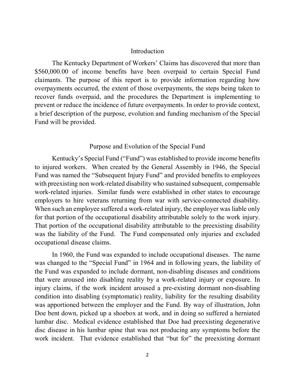## **Introduction**

The Kentucky Department of Workers' Claims has discovered that more than \$560,000.00 of income benefits have been overpaid to certain Special Fund claimants. The purpose of this report is to provide information regarding how overpayments occurred, the extent of those overpayments, the steps being taken to recover funds overpaid, and the procedures the Department is implementing to prevent or reduce the incidence of future overpayments. In order to provide context, a brief description of the purpose, evolution and funding mechanism of the Special Fund will be provided.

# Purpose and Evolution of the Special Fund

Kentucky's Special Fund ("Fund") was established to provide income benefits to injured workers. When created by the General Assembly in 1946, the Special Fund was named the "Subsequent Injury Fund" and provided benefits to employees with preexisting non work-related disability who sustained subsequent, compensable work-related injuries. Similar funds were established in other states to encourage employers to hire veterans returning from war with service-connected disability. When such an employee suffered a work-related injury, the employer was liable only for that portion of the occupational disability attributable solely to the work injury. That portion of the occupational disability attributable to the preexisting disability was the liability of the Fund. The Fund compensated only injuries and excluded occupational disease claims.

In 1960, the Fund was expanded to include occupational diseases. The name was changed to the "Special Fund" in 1964 and in following years, the liability of the Fund was expanded to include dormant, non-disabling diseases and conditions that were aroused into disabling reality by a work-related injury or exposure. In injury claims, if the work incident aroused a pre-existing dormant non-disabling condition into disabling (symptomatic) reality, liability for the resulting disability was apportioned between the employer and the Fund. By way of illustration, John Doe bent down, picked up a shoebox at work, and in doing so suffered a herniated lumbar disc. Medical evidence established that Doe had preexisting degenerative disc disease in his lumbar spine that was not producing any symptoms before the work incident. That evidence established that "but for" the preexisting dormant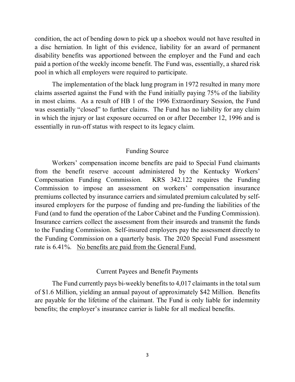condition, the act of bending down to pick up a shoebox would not have resulted in a disc herniation. In light of this evidence, liability for an award of permanent disability benefits was apportioned between the employer and the Fund and each paid a portion of the weekly income benefit. The Fund was, essentially, a shared risk pool in which all employers were required to participate.

The implementation of the black lung program in 1972 resulted in many more claims asserted against the Fund with the Fund initially paying 75% of the liability in most claims. As a result of HB 1 of the 1996 Extraordinary Session, the Fund was essentially "closed" to further claims. The Fund has no liability for any claim in which the injury or last exposure occurred on or after December 12, 1996 and is essentially in run-off status with respect to its legacy claim.

# Funding Source

Workers' compensation income benefits are paid to Special Fund claimants from the benefit reserve account administered by the Kentucky Workers' Compensation Funding Commission. KRS 342.122 requires the Funding Commission to impose an assessment on workers' compensation insurance premiums collected by insurance carriers and simulated premium calculated by selfinsured employers for the purpose of funding and pre-funding the liabilities of the Fund (and to fund the operation of the Labor Cabinet and the Funding Commission). Insurance carriers collect the assessment from their insureds and transmit the funds to the Funding Commission. Self-insured employers pay the assessment directly to the Funding Commission on a quarterly basis. The 2020 Special Fund assessment rate is 6.41%. No benefits are paid from the General Fund.

#### Current Payees and Benefit Payments

The Fund currently pays bi-weekly benefits to 4,017 claimants in the total sum of \$1.6 Million, yielding an annual payout of approximately \$42 Million. Benefits are payable for the lifetime of the claimant. The Fund is only liable for indemnity benefits; the employer's insurance carrier is liable for all medical benefits.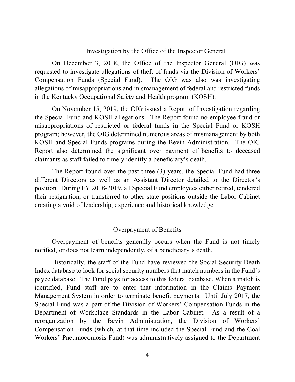## Investigation by the Office of the Inspector General

On December 3, 2018, the Office of the Inspector General (OIG) was requested to investigate allegations of theft of funds via the Division of Workers' Compensation Funds (Special Fund). The OIG was also was investigating allegations of misappropriations and mismanagement of federal and restricted funds in the Kentucky Occupational Safety and Health program (KOSH).

On November 15, 2019, the OIG issued a Report of Investigation regarding the Special Fund and KOSH allegations. The Report found no employee fraud or misappropriations of restricted or federal funds in the Special Fund or KOSH program; however, the OIG determined numerous areas of mismanagement by both KOSH and Special Funds programs during the Bevin Administration. The OIG Report also determined the significant over payment of benefits to deceased claimants as staff failed to timely identify a beneficiary's death.

The Report found over the past three (3) years, the Special Fund had three different Directors as well as an Assistant Director detailed to the Director's position. During FY 2018-2019, all Special Fund employees either retired, tendered their resignation, or transferred to other state positions outside the Labor Cabinet creating a void of leadership, experience and historical knowledge.

# Overpayment of Benefits

Overpayment of benefits generally occurs when the Fund is not timely notified, or does not learn independently, of a beneficiary's death.

Historically, the staff of the Fund have reviewed the Social Security Death Index database to look for social security numbers that match numbers in the Fund's payee database. The Fund pays for access to this federal database. When a match is identified, Fund staff are to enter that information in the Claims Payment Management System in order to terminate benefit payments. Until July 2017, the Special Fund was a part of the Division of Workers' Compensation Funds in the Department of Workplace Standards in the Labor Cabinet. As a result of a reorganization by the Bevin Administration, the Division of Workers' Compensation Funds (which, at that time included the Special Fund and the Coal Workers' Pneumoconiosis Fund) was administratively assigned to the Department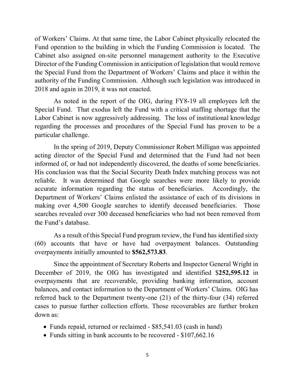of Workers' Claims. At that same time, the Labor Cabinet physically relocated the Fund operation to the building in which the Funding Commission is located. The Cabinet also assigned on-site personnel management authority to the Executive Director of the Funding Commission in anticipation of legislation that would remove the Special Fund from the Department of Workers' Claims and place it within the authority of the Funding Commission. Although such legislation was introduced in 2018 and again in 2019, it was not enacted.

As noted in the report of the OIG, during FY8-19 all employees left the Special Fund. That exodus left the Fund with a critical staffing shortage that the Labor Cabinet is now aggressively addressing. The loss of institutional knowledge regarding the processes and procedures of the Special Fund has proven to be a particular challenge.

In the spring of 2019, Deputy Commissioner Robert Milligan was appointed acting director of the Special Fund and determined that the Fund had not been informed of, or had not independently discovered, the deaths of some beneficiaries. His conclusion was that the Social Security Death Index matching process was not reliable. It was determined that Google searches were more likely to provide accurate information regarding the status of beneficiaries. Accordingly, the Department of Workers' Claims enlisted the assistance of each of its divisions in making over 4,500 Google searches to identify deceased beneficiaries. Those searches revealed over 300 deceased beneficiaries who had not been removed from the Fund's database.

As a result of this Special Fund program review, the Fund has identified sixty (60) accounts that have or have had overpayment balances. Outstanding overpayments initially amounted to **\$562,573.83**.

Since the appointment of Secretary Roberts and Inspector General Wright in December of 2019, the OIG has investigated and identified \$**252,595.12** in overpayments that are recoverable, providing banking information, account balances, and contact information to the Department of Workers' Claims. OIG has referred back to the Department twenty-one (21) of the thirty-four (34) referred cases to pursue further collection efforts. Those recoverables are further broken down as:

- Funds repaid, returned or reclaimed \$85,541.03 (cash in hand)
- Funds sitting in bank accounts to be recovered \$107,662.16